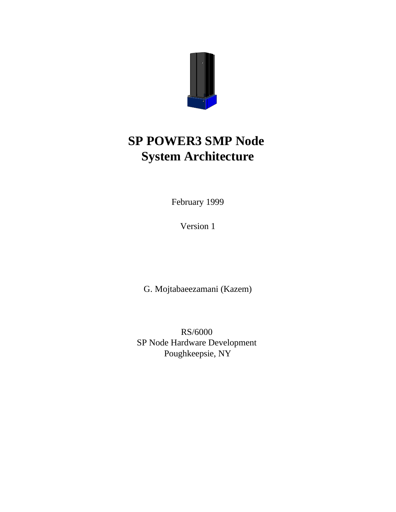

February 1999

Version 1

G. Mojtabaeezamani (Kazem)

RS/6000 SP Node Hardware Development Poughkeepsie, NY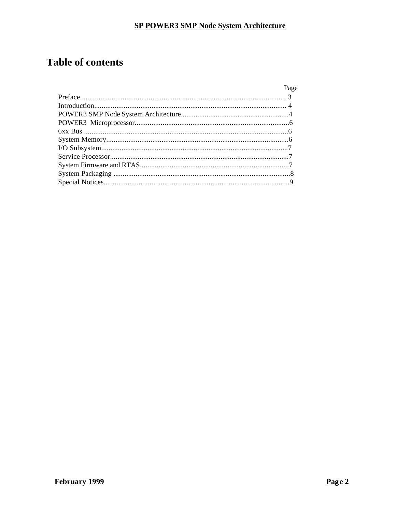# **Table of contents**

| Page |
|------|
|      |
|      |
|      |
|      |
|      |
|      |
|      |
|      |
|      |
|      |
|      |
|      |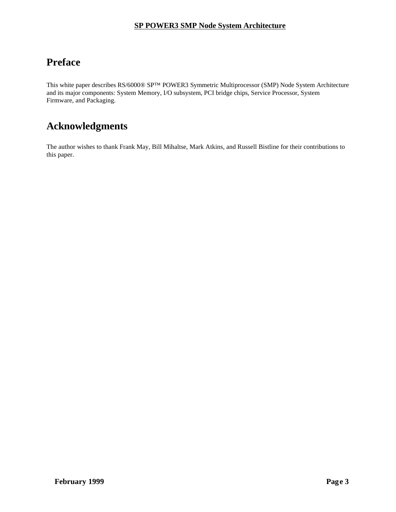# **Preface**

This white paper describes RS/6000® SP™ POWER3 Symmetric Multiprocessor (SMP) Node System Architecture and its major components: System Memory, I/O subsystem, PCI bridge chips, Service Processor, System Firmware, and Packaging.

# **Acknowledgments**

The author wishes to thank Frank May, Bill Mihaltse, Mark Atkins, and Russell Bistline for their contributions to this paper.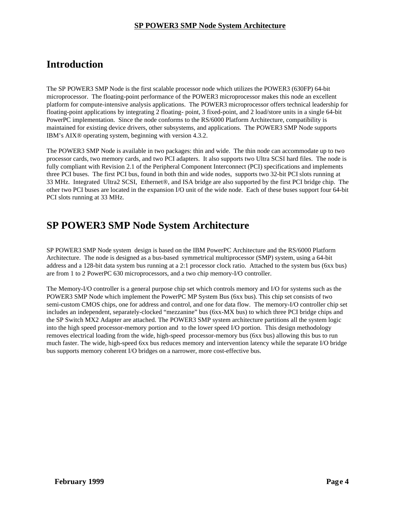### **Introduction**

The SP POWER3 SMP Node is the first scalable processor node which utilizes the POWER3 (630FP) 64-bit microprocessor. The floating-point performance of the POWER3 microprocessor makes this node an excellent platform for compute-intensive analysis applications. The POWER3 microprocessor offers technical leadership for floating-point applications by integrating 2 floating- point, 3 fixed-point, and 2 load/store units in a single 64-bit PowerPC implementation. Since the node conforms to the RS/6000 Platform Architecture, compatibility is maintained for existing device drivers, other subsystems, and applications. The POWER3 SMP Node supports IBM's AIX® operating system, beginning with version 4.3.2.

The POWER3 SMP Node is available in two packages: thin and wide. The thin node can accommodate up to two processor cards, two memory cards, and two PCI adapters. It also supports two Ultra SCSI hard files. The node is fully compliant with Revision 2.1 of the Peripheral Component Interconnect (PCI) specifications and implements three PCI buses. The first PCI bus, found in both thin and wide nodes, supports two 32-bit PCI slots running at 33 MHz. Integrated Ultra2 SCSI, Ethernet®, and ISA bridge are also supported by the first PCI bridge chip. The other two PCI buses are located in the expansion I/O unit of the wide node. Each of these buses support four 64-bit PCI slots running at 33 MHz.

### **SP POWER3 SMP Node System Architecture**

SP POWER3 SMP Node system design is based on the IBM PowerPC Architecture and the RS/6000 Platform Architecture. The node is designed as a bus-based symmetrical multiprocessor (SMP) system, using a 64-bit address and a 128-bit data system bus running at a 2:1 processor clock ratio. Attached to the system bus (6xx bus) are from 1 to 2 PowerPC 630 microprocessors, and a two chip memory-I/O controller.

The Memory-I/O controller is a general purpose chip set which controls memory and I/O for systems such as the POWER3 SMP Node which implement the PowerPC MP System Bus (6xx bus). This chip set consists of two semi-custom CMOS chips, one for address and control, and one for data flow. The memory-I/O controller chip set includes an independent, separately-clocked "mezzanine" bus (6xx-MX bus) to which three PCI bridge chips and the SP Switch MX2 Adapter are attached. The POWER3 SMP system architecture partitions all the system logic into the high speed processor-memory portion and to the lower speed I/O portion. This design methodology removes electrical loading from the wide, high-speed processor-memory bus (6xx bus) allowing this bus to run much faster. The wide, high-speed 6xx bus reduces memory and intervention latency while the separate I/O bridge bus supports memory coherent I/O bridges on a narrower, more cost-effective bus.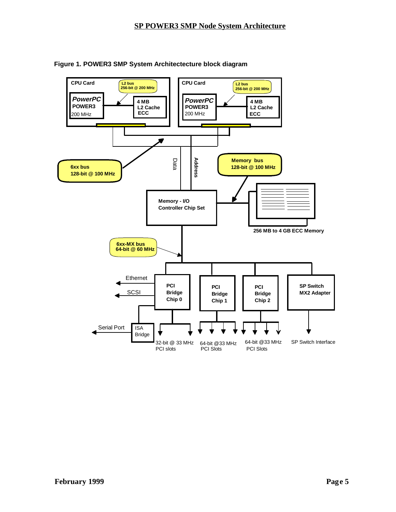

**Figure 1. POWER3 SMP System Architectecture block diagram**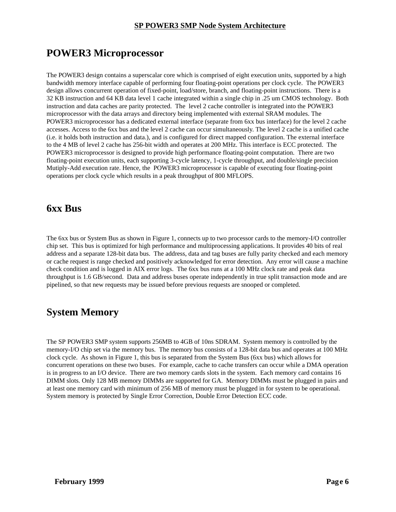## **POWER3 Microprocessor**

The POWER3 design contains a superscalar core which is comprised of eight execution units, supported by a high bandwidth memory interface capable of performing four floating-point operations per clock cycle. The POWER3 design allows concurrent operation of fixed-point, load/store, branch, and floating-point instructions. There is a 32 KB instruction and 64 KB data level 1 cache integrated within a single chip in .25 um CMOS technology. Both instruction and data caches are parity protected. The level 2 cache controller is integrated into the POWER3 microprocessor with the data arrays and directory being implemented with external SRAM modules. The POWER3 microprocessor has a dedicated external interface (separate from 6xx bus interface) for the level 2 cache accesses. Access to the 6xx bus and the level 2 cache can occur simultaneously. The level 2 cache is a unified cache (i.e. it holds both instruction and data.), and is configured for direct mapped configuration. The external interface to the 4 MB of level 2 cache has 256-bit width and operates at 200 MHz. This interface is ECC protected. The POWER3 microprocessor is designed to provide high performance floating-point computation. There are two floating-point execution units, each supporting 3-cycle latency, 1-cycle throughput, and double/single precision Mutiply-Add execution rate. Hence, the POWER3 microprocessor is capable of executing four floating-point operations per clock cycle which results in a peak throughput of 800 MFLOPS.

### **6xx Bus**

The 6xx bus or System Bus as shown in Figure 1, connects up to two processor cards to the memory-I/O controller chip set. This bus is optimized for high performance and multiprocessing applications. It provides 40 bits of real address and a separate 128-bit data bus. The address, data and tag buses are fully parity checked and each memory or cache request is range checked and positively acknowledged for error detection. Any error will cause a machine check condition and is logged in AIX error logs. The 6xx bus runs at a 100 MHz clock rate and peak data throughput is 1.6 GB/second. Data and address buses operate independently in true split transaction mode and are pipelined, so that new requests may be issued before previous requests are snooped or completed.

# **System Memory**

The SP POWER3 SMP system supports 256MB to 4GB of 10ns SDRAM. System memory is controlled by the memory-I/O chip set via the memory bus. The memory bus consists of a 128-bit data bus and operates at 100 MHz clock cycle. As shown in Figure 1, this bus is separated from the System Bus (6xx bus) which allows for concurrent operations on these two buses. For example, cache to cache transfers can occur while a DMA operation is in progress to an I/O device. There are two memory cards slots in the system. Each memory card contains 16 DIMM slots. Only 128 MB memory DIMMs are supported for GA. Memory DIMMs must be plugged in pairs and at least one memory card with minimum of 256 MB of memory must be plugged in for system to be operational. System memory is protected by Single Error Correction, Double Error Detection ECC code.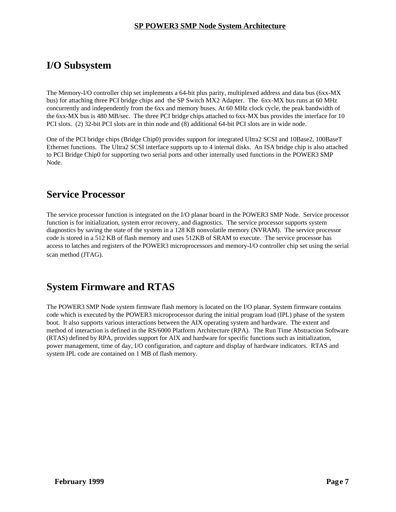### **I/O Subsystem**

The Memory-I/O controller chip set implements a 64-bit plus parity, multiplexed address and data bus (6xx-MX bus) for attaching three PCI bridge chips and the SP Switch MX2 Adapter. The 6xx-MX bus runs at 60 MHz concurrently and independently from the 6xx and memory buses. At 60 MHz clock cycle, the peak bandwidth of the 6xx-MX bus is 480 MB/sec. The three PCI bridge chips attached to 6xx-MX bus provides the interface for 10 PCI slots. (2) 32-bit PCI slots are in thin node and (8) additional 64-bit PCI slots are in wide node.

One of the PCI bridge chips (Bridge Chip0) provides support for integrated Ultra2 SCSI and 10Base2, 100BaseT Ethernet functions. The Ultra2 SCSI interface supports up to 4 internal disks. An ISA bridge chip is also attached to PCI Bridge Chip0 for supporting two serial ports and other internally used functions in the POWER3 SMP Node.

### **Service Processor**

The service processor function is integrated on the I/O planar board in the POWER3 SMP Node. Service processor function is for initialization, system error recovery, and diagnostics. The service processor supports system diagnostics by saving the state of the system in a 128 KB nonvolatile memory (NVRAM). The service processor code is stored in a 512 KB of flash memory and uses 512KB of SRAM to execute. The service processor has access to latches and registers of the POWER3 microprocessors and memory-I/O controller chip set using the serial scan method (JTAG).

## **System Firmware and RTAS**

The POWER3 SMP Node system firmware flash memory is located on the I/O planar. System firmware contains code which is executed by the POWER3 microprocessor during the initial program load (IPL) phase of the system boot. It also supports various interactions between the AIX operating system and hardware. The extent and method of interaction is defined in the RS/6000 Platform Architecture (RPA). The Run Time Abstraction Software (RTAS) defined by RPA, provides support for AIX and hardware for specific functions such as initialization, power management, time of day, I/O configuration, and capture and display of hardware indicators. RTAS and system IPL code are contained on 1 MB of flash memory.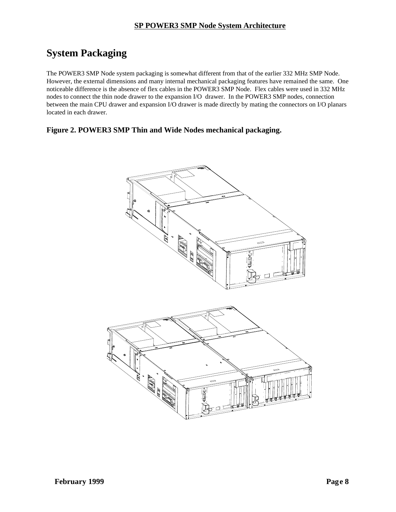# **System Packaging**

The POWER3 SMP Node system packaging is somewhat different from that of the earlier 332 MHz SMP Node. However, the external dimensions and many internal mechanical packaging features have remained the same. One noticeable difference is the absence of flex cables in the POWER3 SMP Node. Flex cables were used in 332 MHz nodes to connect the thin node drawer to the expansion I/O drawer. In the POWER3 SMP nodes, connection between the main CPU drawer and expansion I/O drawer is made directly by mating the connectors on I/O planars located in each drawer.

#### **Figure 2. POWER3 SMP Thin and Wide Nodes mechanical packaging.**